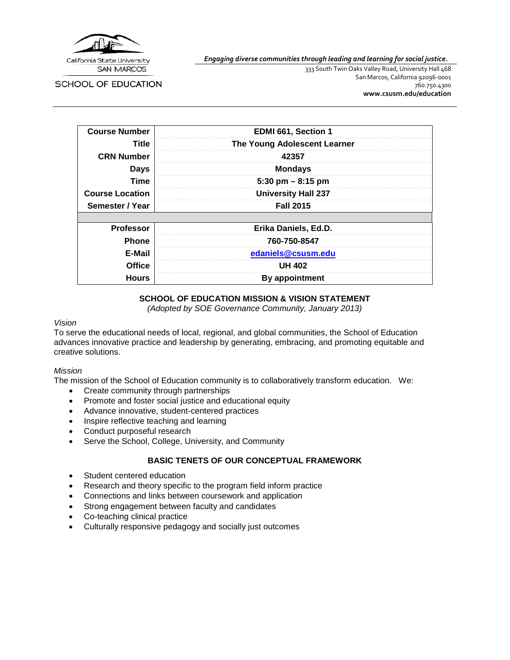

*Engaging diverse communities through leading and learning for social justice.*

**SCHOOL OF EDUCATION** 

333 South Twin Oaks Valley Road, University Hall 468 San Marcos, California 92096-0001 760.750.4300 **[www.csusm.edu/education](http://www.csusm.edu/education)**

| <b>Course Number</b>   | EDMI 661, Section 1          |  |
|------------------------|------------------------------|--|
| Title                  | The Young Adolescent Learner |  |
| <b>CRN Number</b>      | 42357                        |  |
| <b>Days</b>            | <b>Mondays</b>               |  |
| <b>Time</b>            | 5:30 pm $-$ 8:15 pm          |  |
| <b>Course Location</b> | <b>University Hall 237</b>   |  |
| Semester / Year        | <b>Fall 2015</b>             |  |
|                        |                              |  |
| <b>Professor</b>       | Erika Daniels, Ed.D.         |  |
| <b>Phone</b>           | 760-750-8547                 |  |
| E-Mail                 | edaniels@csusm.edu           |  |
| <b>Office</b>          | <b>UH 402</b>                |  |
| <b>Hours</b>           | <b>By appointment</b>        |  |

#### **SCHOOL OF EDUCATION MISSION & VISION STATEMENT**

*(Adopted by SOE Governance Community, January 2013)*

#### *Vision*

To serve the educational needs of local, regional, and global communities, the School of Education advances innovative practice and leadership by generating, embracing, and promoting equitable and creative solutions.

#### *Mission*

The mission of the School of Education community is to collaboratively transform education. We:

- Create community through partnerships
- Promote and foster social justice and educational equity
- Advance innovative, student-centered practices
- Inspire reflective teaching and learning
- Conduct purposeful research
- Serve the School, College, University, and Community

### **BASIC TENETS OF OUR CONCEPTUAL FRAMEWORK**

- Student centered education
- Research and theory specific to the program field inform practice
- Connections and links between coursework and application
- Strong engagement between faculty and candidates
- Co-teaching clinical practice
- Culturally responsive pedagogy and socially just outcomes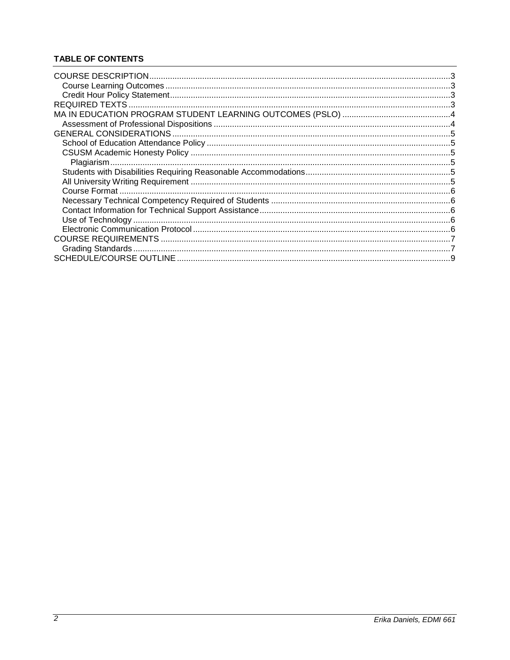# **TABLE OF CONTENTS**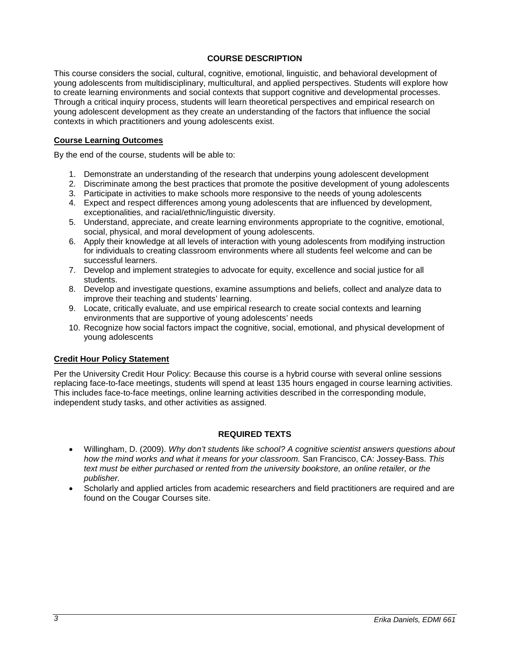### **COURSE DESCRIPTION**

<span id="page-2-0"></span>This course considers the social, cultural, cognitive, emotional, linguistic, and behavioral development of young adolescents from multidisciplinary, multicultural, and applied perspectives. Students will explore how to create learning environments and social contexts that support cognitive and developmental processes. Through a critical inquiry process, students will learn theoretical perspectives and empirical research on young adolescent development as they create an understanding of the factors that influence the social contexts in which practitioners and young adolescents exist.

#### <span id="page-2-1"></span>**Course Learning Outcomes**

By the end of the course, students will be able to:

- 1. Demonstrate an understanding of the research that underpins young adolescent development
- 2. Discriminate among the best practices that promote the positive development of young adolescents
- 3. Participate in activities to make schools more responsive to the needs of young adolescents
- 4. Expect and respect differences among young adolescents that are influenced by development, exceptionalities, and racial/ethnic/linguistic diversity.
- 5. Understand, appreciate, and create learning environments appropriate to the cognitive, emotional, social, physical, and moral development of young adolescents.
- 6. Apply their knowledge at all levels of interaction with young adolescents from modifying instruction for individuals to creating classroom environments where all students feel welcome and can be successful learners.
- 7. Develop and implement strategies to advocate for equity, excellence and social justice for all students.
- 8. Develop and investigate questions, examine assumptions and beliefs, collect and analyze data to improve their teaching and students' learning.
- 9. Locate, critically evaluate, and use empirical research to create social contexts and learning environments that are supportive of young adolescents' needs
- 10. Recognize how social factors impact the cognitive, social, emotional, and physical development of young adolescents

#### <span id="page-2-2"></span>**Credit Hour Policy Statement**

Per the University Credit Hour Policy: Because this course is a hybrid course with several online sessions replacing face-to-face meetings, students will spend at least 135 hours engaged in course learning activities. This includes face-to-face meetings, online learning activities described in the corresponding module, independent study tasks, and other activities as assigned.

#### **REQUIRED TEXTS**

- <span id="page-2-3"></span>• Willingham, D. (2009). *Why don't students like school? A cognitive scientist answers questions about how the mind works and what it means for your classroom.* San Francisco, CA: Jossey-Bass. *This text must be either purchased or rented from the university bookstore, an online retailer, or the publisher.*
- Scholarly and applied articles from academic researchers and field practitioners are required and are found on the Cougar Courses site.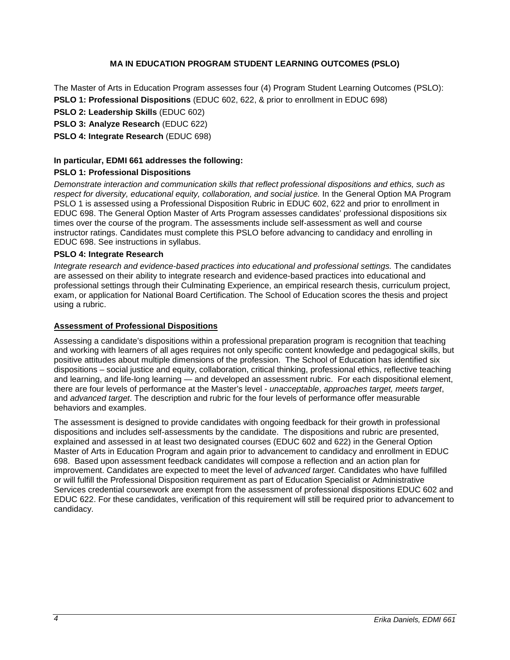## **MA IN EDUCATION PROGRAM STUDENT LEARNING OUTCOMES (PSLO)**

<span id="page-3-0"></span>The Master of Arts in Education Program assesses four (4) Program Student Learning Outcomes (PSLO): **PSLO 1: Professional Dispositions** (EDUC 602, 622, & prior to enrollment in EDUC 698)

**PSLO 2: Leadership Skills** (EDUC 602)

**PSLO 3: Analyze Research** (EDUC 622)

**PSLO 4: Integrate Research** (EDUC 698)

#### **In particular, EDMI 661 addresses the following:**

#### **PSLO 1: Professional Dispositions**

*Demonstrate interaction and communication skills that reflect professional dispositions and ethics, such as respect for diversity, educational equity, collaboration, and social justice.* In the General Option MA Program PSLO 1 is assessed using a Professional Disposition Rubric in EDUC 602, 622 and prior to enrollment in EDUC 698. The General Option Master of Arts Program assesses candidates' professional dispositions six times over the course of the program. The assessments include self-assessment as well and course instructor ratings. Candidates must complete this PSLO before advancing to candidacy and enrolling in EDUC 698. See instructions in syllabus.

#### **PSLO 4: Integrate Research**

*Integrate research and evidence-based practices into educational and professional settings.* The candidates are assessed on their ability to integrate research and evidence-based practices into educational and professional settings through their Culminating Experience, an empirical research thesis, curriculum project, exam, or application for National Board Certification. The School of Education scores the thesis and project using a rubric.

## <span id="page-3-1"></span>**Assessment of Professional Dispositions**

Assessing a candidate's dispositions within a professional preparation program is recognition that teaching and working with learners of all ages requires not only specific content knowledge and pedagogical skills, but positive attitudes about multiple dimensions of the profession. The School of Education has identified six dispositions – social justice and equity, collaboration, critical thinking, professional ethics, reflective teaching and learning, and life-long learning — and developed an assessment rubric. For each dispositional element, there are four levels of performance at the Master's level - *unacceptable*, *approaches target, meets target*, and *advanced target*. The description and rubric for the four levels of performance offer measurable behaviors and examples.

The assessment is designed to provide candidates with ongoing feedback for their growth in professional dispositions and includes self-assessments by the candidate. The dispositions and rubric are presented, explained and assessed in at least two designated courses (EDUC 602 and 622) in the General Option Master of Arts in Education Program and again prior to advancement to candidacy and enrollment in EDUC 698. Based upon assessment feedback candidates will compose a reflection and an action plan for improvement. Candidates are expected to meet the level of *advanced target*. Candidates who have fulfilled or will fulfill the Professional Disposition requirement as part of Education Specialist or Administrative Services credential coursework are exempt from the assessment of professional dispositions EDUC 602 and EDUC 622. For these candidates, verification of this requirement will still be required prior to advancement to candidacy.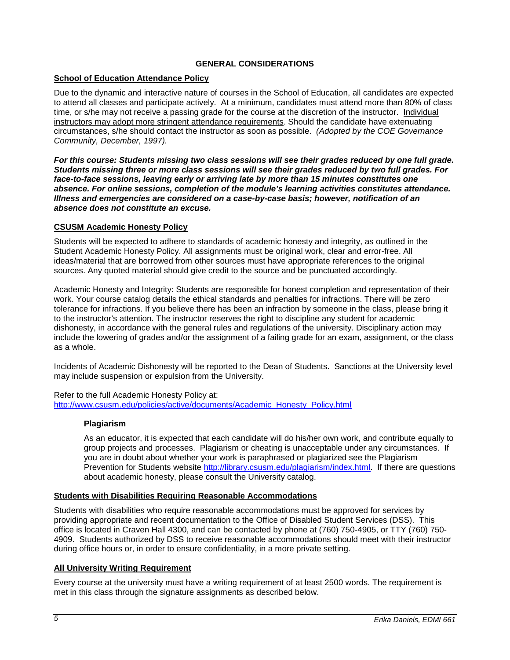### **GENERAL CONSIDERATIONS**

### <span id="page-4-1"></span><span id="page-4-0"></span>**School of Education Attendance Policy**

Due to the dynamic and interactive nature of courses in the School of Education, all candidates are expected to attend all classes and participate actively. At a minimum, candidates must attend more than 80% of class time, or s/he may not receive a passing grade for the course at the discretion of the instructor. Individual instructors may adopt more stringent attendance requirements. Should the candidate have extenuating circumstances, s/he should contact the instructor as soon as possible. *(Adopted by the COE Governance Community, December, 1997).*

*For this course: Students missing two class sessions will see their grades reduced by one full grade. Students missing three or more class sessions will see their grades reduced by two full grades. For face-to-face sessions, leaving early or arriving late by more than 15 minutes constitutes one absence. For online sessions, completion of the module's learning activities constitutes attendance. Illness and emergencies are considered on a case-by-case basis; however, notification of an absence does not constitute an excuse.*

### <span id="page-4-2"></span>**CSUSM Academic Honesty Policy**

Students will be expected to adhere to standards of academic honesty and integrity, as outlined in the Student Academic Honesty Policy. All assignments must be original work, clear and error-free. All ideas/material that are borrowed from other sources must have appropriate references to the original sources. Any quoted material should give credit to the source and be punctuated accordingly.

Academic Honesty and Integrity: Students are responsible for honest completion and representation of their work. Your course catalog details the ethical standards and penalties for infractions. There will be zero tolerance for infractions. If you believe there has been an infraction by someone in the class, please bring it to the instructor's attention. The instructor reserves the right to discipline any student for academic dishonesty, in accordance with the general rules and regulations of the university. Disciplinary action may include the lowering of grades and/or the assignment of a failing grade for an exam, assignment, or the class as a whole.

Incidents of Academic Dishonesty will be reported to the Dean of Students. Sanctions at the University level may include suspension or expulsion from the University.

<span id="page-4-3"></span>Refer to the full Academic Honesty Policy at: [http://www.csusm.edu/policies/active/documents/Academic\\_Honesty\\_Policy.html](http://www.csusm.edu/policies/active/documents/Academic_Honesty_Policy.html)

### **Plagiarism**

As an educator, it is expected that each candidate will do his/her own work, and contribute equally to group projects and processes. Plagiarism or cheating is unacceptable under any circumstances. If you are in doubt about whether your work is paraphrased or plagiarized see the Plagiarism Prevention for Students website [http://library.csusm.edu/plagiarism/index.html.](http://library.csusm.edu/plagiarism/index.html) If there are questions about academic honesty, please consult the University catalog.

#### <span id="page-4-4"></span>**Students with Disabilities Requiring Reasonable Accommodations**

Students with disabilities who require reasonable accommodations must be approved for services by providing appropriate and recent documentation to the Office of Disabled Student Services (DSS). This office is located in Craven Hall 4300, and can be contacted by phone at (760) 750-4905, or TTY (760) 750- 4909. Students authorized by DSS to receive reasonable accommodations should meet with their instructor during office hours or, in order to ensure confidentiality, in a more private setting.

### <span id="page-4-5"></span>**All University Writing Requirement**

Every course at the university must have a writing requirement of at least 2500 words. The requirement is met in this class through the signature assignments as described below.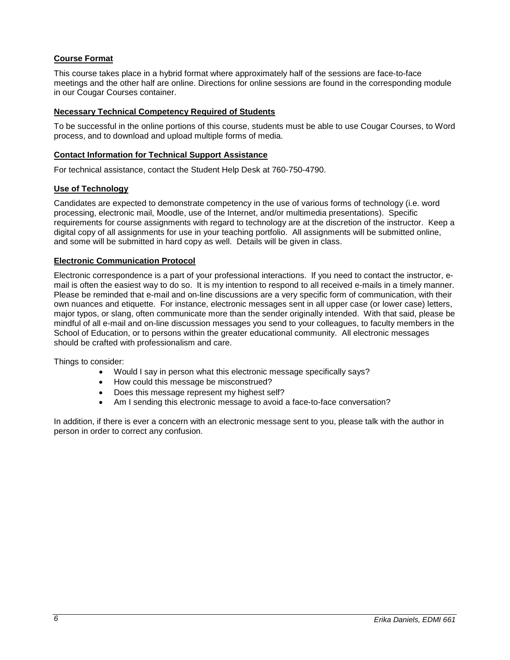## <span id="page-5-0"></span>**Course Format**

This course takes place in a hybrid format where approximately half of the sessions are face-to-face meetings and the other half are online. Directions for online sessions are found in the corresponding module in our Cougar Courses container.

#### <span id="page-5-1"></span>**Necessary Technical Competency Required of Students**

To be successful in the online portions of this course, students must be able to use Cougar Courses, to Word process, and to download and upload multiple forms of media.

#### <span id="page-5-2"></span>**Contact Information for Technical Support Assistance**

For technical assistance, contact the Student Help Desk at 760-750-4790.

#### <span id="page-5-3"></span>**Use of Technology**

Candidates are expected to demonstrate competency in the use of various forms of technology (i.e. word processing, electronic mail, Moodle, use of the Internet, and/or multimedia presentations). Specific requirements for course assignments with regard to technology are at the discretion of the instructor. Keep a digital copy of all assignments for use in your teaching portfolio. All assignments will be submitted online, and some will be submitted in hard copy as well. Details will be given in class.

#### <span id="page-5-4"></span>**Electronic Communication Protocol**

Electronic correspondence is a part of your professional interactions. If you need to contact the instructor, email is often the easiest way to do so. It is my intention to respond to all received e-mails in a timely manner. Please be reminded that e-mail and on-line discussions are a very specific form of communication, with their own nuances and etiquette. For instance, electronic messages sent in all upper case (or lower case) letters, major typos, or slang, often communicate more than the sender originally intended. With that said, please be mindful of all e-mail and on-line discussion messages you send to your colleagues, to faculty members in the School of Education, or to persons within the greater educational community. All electronic messages should be crafted with professionalism and care.

Things to consider:

- Would I say in person what this electronic message specifically says?
- How could this message be misconstrued?
- Does this message represent my highest self?
- Am I sending this electronic message to avoid a face-to-face conversation?

In addition, if there is ever a concern with an electronic message sent to you, please talk with the author in person in order to correct any confusion.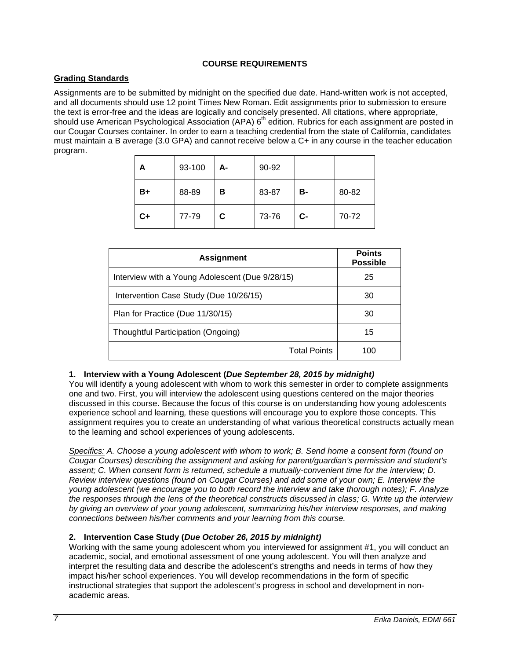## **COURSE REQUIREMENTS**

## <span id="page-6-1"></span><span id="page-6-0"></span>**Grading Standards**

Assignments are to be submitted by midnight on the specified due date. Hand-written work is not accepted, and all documents should use 12 point Times New Roman. Edit assignments prior to submission to ensure the text is error-free and the ideas are logically and concisely presented. All citations, where appropriate, should use American Psychological Association (APA)  $6<sup>th</sup>$  edition. Rubrics for each assignment are posted in our Cougar Courses container. In order to earn a teaching credential from the state of California, candidates must maintain a B average (3.0 GPA) and cannot receive below a C+ in any course in the teacher education program.

| А    | 93-100 | А- | 90-92 |      |       |
|------|--------|----|-------|------|-------|
| B+   | 88-89  | в  | 83-87 | в-   | 80-82 |
| $C+$ | 77-79  | C. | 73-76 | $C-$ | 70-72 |

| <b>Assignment</b>                               | <b>Points</b><br><b>Possible</b> |
|-------------------------------------------------|----------------------------------|
| Interview with a Young Adolescent (Due 9/28/15) | 25                               |
| Intervention Case Study (Due 10/26/15)          | 30                               |
| Plan for Practice (Due 11/30/15)                | 30                               |
| Thoughtful Participation (Ongoing)              | 15                               |
| <b>Total Points</b>                             | 100                              |

### **1. Interview with a Young Adolescent (***Due September 28, 2015 by midnight)*

You will identify a young adolescent with whom to work this semester in order to complete assignments one and two. First, you will interview the adolescent using questions centered on the major theories discussed in this course. Because the focus of this course is on understanding how young adolescents experience school and learning*,* these questions will encourage you to explore those concepts*.* This assignment requires you to create an understanding of what various theoretical constructs actually mean to the learning and school experiences of young adolescents.

*Specifics: A. Choose a young adolescent with whom to work; B. Send home a consent form (found on Cougar Courses) describing the assignment and asking for parent/guardian's permission and student's assent; C. When consent form is returned, schedule a mutually-convenient time for the interview; D. Review interview questions (found on Cougar Courses) and add some of your own; E. Interview the young adolescent (we encourage you to both record the interview and take thorough notes); F. Analyze the responses through the lens of the theoretical constructs discussed in class; G. Write up the interview by giving an overview of your young adolescent, summarizing his/her interview responses, and making connections between his/her comments and your learning from this course.*

### **2. Intervention Case Study (***Due October 26, 2015 by midnight)*

Working with the same young adolescent whom you interviewed for assignment #1, you will conduct an academic, social, and emotional assessment of one young adolescent. You will then analyze and interpret the resulting data and describe the adolescent's strengths and needs in terms of how they impact his/her school experiences. You will develop recommendations in the form of specific instructional strategies that support the adolescent's progress in school and development in nonacademic areas.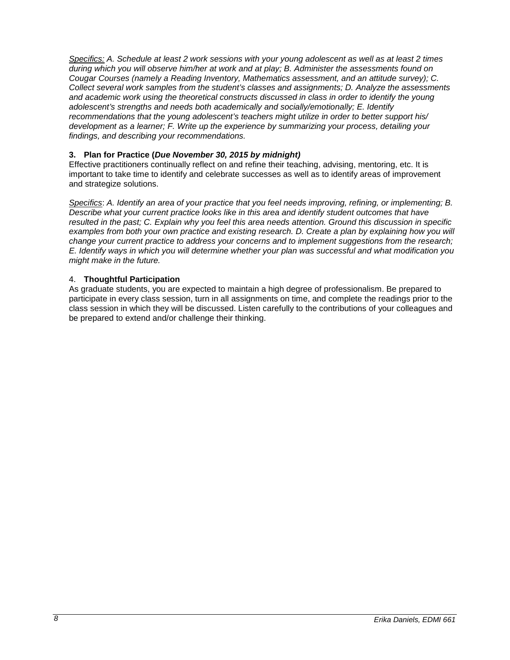*Specifics: A. Schedule at least 2 work sessions with your young adolescent as well as at least 2 times during which you will observe him/her at work and at play; B. Administer the assessments found on Cougar Courses (namely a Reading Inventory, Mathematics assessment, and an attitude survey); C. Collect several work samples from the student's classes and assignments; D. Analyze the assessments and academic work using the theoretical constructs discussed in class in order to identify the young adolescent's strengths and needs both academically and socially/emotionally; E. Identify recommendations that the young adolescent's teachers might utilize in order to better support his/ development as a learner; F. Write up the experience by summarizing your process, detailing your findings, and describing your recommendations.*

## **3. Plan for Practice (***Due November 30, 2015 by midnight)*

Effective practitioners continually reflect on and refine their teaching, advising, mentoring, etc. It is important to take time to identify and celebrate successes as well as to identify areas of improvement and strategize solutions.

*Specifics*: *A. Identify an area of your practice that you feel needs improving, refining, or implementing; B. Describe what your current practice looks like in this area and identify student outcomes that have resulted in the past; C. Explain why you feel this area needs attention. Ground this discussion in specific*  examples from both your own practice and existing research. D. Create a plan by explaining how you will *change your current practice to address your concerns and to implement suggestions from the research; E. Identify ways in which you will determine whether your plan was successful and what modification you might make in the future.* 

## 4. **Thoughtful Participation**

As graduate students, you are expected to maintain a high degree of professionalism. Be prepared to participate in every class session, turn in all assignments on time, and complete the readings prior to the class session in which they will be discussed. Listen carefully to the contributions of your colleagues and be prepared to extend and/or challenge their thinking.